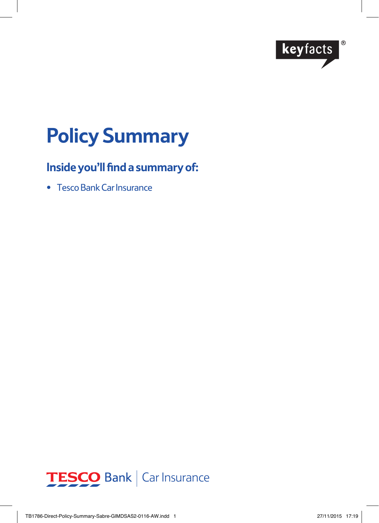

# **Policy Summary**

# **Inside you'll find a summary of:**

• Tesco Bank Car Insurance

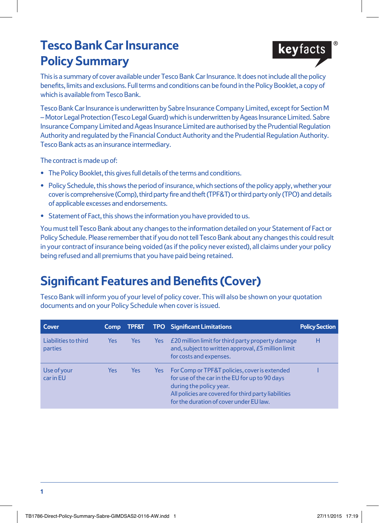# **Tesco Bank Car Insurance Policy Summary**



This is a summary of cover available under Tesco Bank Car Insurance. It does not include all the policy benefits, limits and exclusions. Full terms and conditions can be found in the Policy Booklet, a copy of which is available from Tesco Bank.

Tesco Bank Car Insurance is underwritten by Sabre Insurance Company Limited, except for Section M – Motor Legal Protection (Tesco Legal Guard) which is underwritten by Ageas Insurance Limited. Sabre Insurance Company Limited and Ageas Insurance Limited are authorised by the Prudential Regulation Authority and regulated by the Financial Conduct Authority and the Prudential Regulation Authority. Tesco Bank acts as an insurance intermediary.

The contract is made up of:

- **•** The Policy Booklet, this gives full details of the terms and conditions.
- **•** Policy Schedule, this shows the period of insurance, which sections of the policy apply, whether your cover is comprehensive (Comp), third party fire and theft (TPF&T) or third party only (TPO) and details of applicable excesses and endorsements.
- **•** Statement of Fact, this shows the information you have provided to us.

You must tell Tesco Bank about any changes to the information detailed on your Statement of Fact or Policy Schedule. Please remember that if you do not tell Tesco Bank about any changes this could result in your contract of insurance being voided (as if the policy never existed), all claims under your policy being refused and all premiums that you have paid being retained.

## **Significant Features and Benefits (Cover)**

Tesco Bank will inform you of your level of policy cover. This will also be shown on your quotation documents and on your Policy Schedule when cover is issued.

| Cover                                  | <b>Comp</b> | <b>TPF&amp;T</b> |     | <b>TPO</b> Significant Limitations                                                                                                                                                                                            | <b>Policy Section</b> |
|----------------------------------------|-------------|------------------|-----|-------------------------------------------------------------------------------------------------------------------------------------------------------------------------------------------------------------------------------|-----------------------|
| Liabilities to third<br><b>parties</b> | <b>Yes</b>  | <b>Yes</b>       | Yes | £20 million limit for third party property damage<br>and, subject to written approval, £5 million limit<br>for costs and expenses.                                                                                            | н                     |
| Use of your<br>car in EU               | Yes         | Yes              | Yes | For Comp or TPF&T policies, cover is extended<br>for use of the car in the EU for up to 90 days<br>during the policy year.<br>All policies are covered for third party liabilities<br>for the duration of cover under EU law. |                       |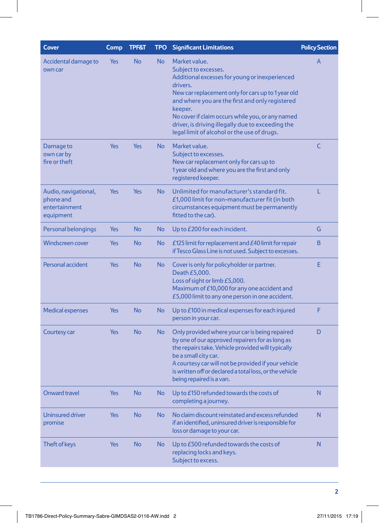| <b>Cover</b>                                                    | Comp       | <b>TPF&amp;T</b> | <b>TPO</b> | <b>Significant Limitations</b>                                                                                                                                                                                                                                                                                                                                                  | <b>Policy Section</b> |
|-----------------------------------------------------------------|------------|------------------|------------|---------------------------------------------------------------------------------------------------------------------------------------------------------------------------------------------------------------------------------------------------------------------------------------------------------------------------------------------------------------------------------|-----------------------|
| Accidental damage to<br>own car                                 | <b>Yes</b> | <b>No</b>        | <b>No</b>  | Market value.<br>Subject to excesses.<br>Additional excesses for young or inexperienced<br>drivers.<br>New car replacement only for cars up to 1 year old<br>and where you are the first and only registered<br>keeper.<br>No cover if claim occurs while you, or any named<br>driver, is driving illegally due to exceeding the<br>legal limit of alcohol or the use of drugs. | A                     |
| Damage to<br>own car by<br>fire or theft                        | <b>Yes</b> | <b>Yes</b>       | <b>No</b>  | Market value.<br>Subject to excesses.<br>New car replacement only for cars up to<br>1 year old and where you are the first and only<br>registered keeper.                                                                                                                                                                                                                       | Ċ                     |
| Audio, navigational,<br>phone and<br>entertainment<br>equipment | <b>Yes</b> | Yes              | <b>No</b>  | Unlimited for manufacturer's standard fit.<br>£1,000 limit for non-manufacturer fit (in both<br>circumstances equipment must be permanently<br>fitted to the car).                                                                                                                                                                                                              | L                     |
| Personal belongings                                             | Yes        | <b>No</b>        | No         | Up to £200 for each incident.                                                                                                                                                                                                                                                                                                                                                   | G                     |
| <b>Windscreen cover</b>                                         | <b>Yes</b> | <b>No</b>        | <b>No</b>  | £125 limit for replacement and £40 limit for repair<br>if Tesco Glass Line is not used. Subject to excesses.                                                                                                                                                                                                                                                                    | B                     |
| Personal accident                                               | Yes        | <b>No</b>        | No         | Cover is only for policyholder or partner.<br>Death £5,000.<br>Loss of sight or limb £5,000.<br>Maximum of £10,000 for any one accident and<br>£5,000 limit to any one person in one accident.                                                                                                                                                                                  | E                     |
| <b>Medical expenses</b>                                         | <b>Yes</b> | <b>No</b>        | <b>No</b>  | Up to £100 in medical expenses for each injured<br>person in your car.                                                                                                                                                                                                                                                                                                          | F                     |
| Courtesy car                                                    | <b>Yes</b> | <b>No</b>        | <b>No</b>  | Only provided where your car is being repaired<br>by one of our approved repairers for as long as<br>the repairs take. Vehicle provided will typically<br>be a small city car.<br>A courtesy car will not be provided if your vehicle<br>is written off or declared a total loss, or the vehicle<br>being repaired is a van.                                                    | D                     |
| <b>Onward travel</b>                                            | <b>Yes</b> | <b>No</b>        | No         | Up to £150 refunded towards the costs of<br>completing a journey.                                                                                                                                                                                                                                                                                                               | N                     |
| <b>Uninsured driver</b><br>promise                              | Yes        | <b>No</b>        | <b>No</b>  | No claim discount reinstated and excess refunded<br>if an identified, uninsured driver is responsible for<br>loss or damage to your car.                                                                                                                                                                                                                                        | N                     |
| Theft of keys                                                   | Yes        | <b>No</b>        | <b>No</b>  | Up to £500 refunded towards the costs of<br>replacing locks and keys.<br>Subject to excess.                                                                                                                                                                                                                                                                                     | N                     |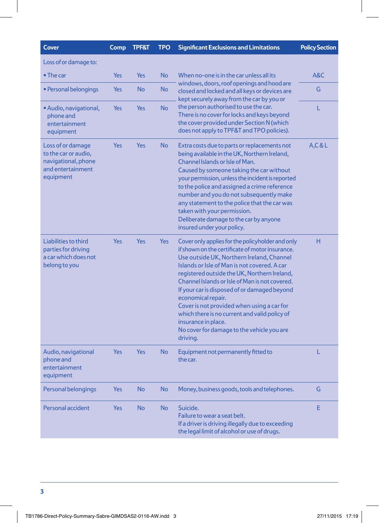| Cover                                                                                              | Comp       | <b>TPF&amp;T</b> | <b>TPO</b> | <b>Significant Exclusions and Limitations</b>                                                                                                                                                                                                                                                                                                                                                                                                                                                                                                            | <b>Policy Section</b> |
|----------------------------------------------------------------------------------------------------|------------|------------------|------------|----------------------------------------------------------------------------------------------------------------------------------------------------------------------------------------------------------------------------------------------------------------------------------------------------------------------------------------------------------------------------------------------------------------------------------------------------------------------------------------------------------------------------------------------------------|-----------------------|
| Loss of or damage to:                                                                              |            |                  |            |                                                                                                                                                                                                                                                                                                                                                                                                                                                                                                                                                          |                       |
| • The car                                                                                          | <b>Yes</b> | <b>Yes</b>       | <b>No</b>  | When no-one is in the car unless all its<br>windows, doors, roof openings and hood are<br>closed and locked and all keys or devices are<br>kept securely away from the car by you or                                                                                                                                                                                                                                                                                                                                                                     | A&C                   |
| • Personal belongings                                                                              | Yes        | <b>No</b>        | <b>No</b>  |                                                                                                                                                                                                                                                                                                                                                                                                                                                                                                                                                          | G                     |
| • Audio, navigational,<br>phone and<br>entertainment<br>equipment                                  | Yes        | Yes              | <b>No</b>  | the person authorised to use the car.<br>There is no cover for locks and keys beyond<br>the cover provided under Section N (which<br>does not apply to TPF&T and TPO policies).                                                                                                                                                                                                                                                                                                                                                                          | L                     |
| Loss of or damage<br>to the car or audio,<br>navigational, phone<br>and entertainment<br>equipment | Yes        | Yes              | <b>No</b>  | Extra costs due to parts or replacements not<br>being available in the UK, Northern Ireland,<br>Channel Islands or Isle of Man.<br>Caused by someone taking the car without<br>your permission, unless the incident is reported<br>to the police and assigned a crime reference<br>number and you do not subsequently make<br>any statement to the police that the car was<br>taken with your permission.<br>Deliberate damage to the car by anyone<br>insured under your policy.                                                                        | A, C & L              |
| Liabilities to third<br>parties for driving<br>a car which does not<br>belong to you               | Yes        | Yes              | <b>Yes</b> | Cover only applies for the policyholder and only<br>if shown on the certificate of motor insurance.<br>Use outside UK, Northern Ireland, Channel<br>Islands or Isle of Man is not covered. A car<br>registered outside the UK, Northern Ireland,<br>Channel Islands or Isle of Man is not covered.<br>If your car is disposed of or damaged beyond<br>economical repair.<br>Cover is not provided when using a car for<br>which there is no current and valid policy of<br>insurance in place.<br>No cover for damage to the vehicle you are<br>driving. | н                     |
| Audio, navigational<br>phone and<br>entertainment<br>equipment                                     | <b>Yes</b> | Yes              | <b>No</b>  | Equipment not permanently fitted to<br>the car.                                                                                                                                                                                                                                                                                                                                                                                                                                                                                                          | L                     |
| Personal belongings                                                                                | <b>Yes</b> | <b>No</b>        | <b>No</b>  | Money, business goods, tools and telephones.                                                                                                                                                                                                                                                                                                                                                                                                                                                                                                             | G                     |
| Personal accident                                                                                  | Yes        | <b>No</b>        | <b>No</b>  | Suicide.<br>Failure to wear a seat belt.<br>If a driver is driving illegally due to exceeding<br>the legal limit of alcohol or use of drugs.                                                                                                                                                                                                                                                                                                                                                                                                             | E                     |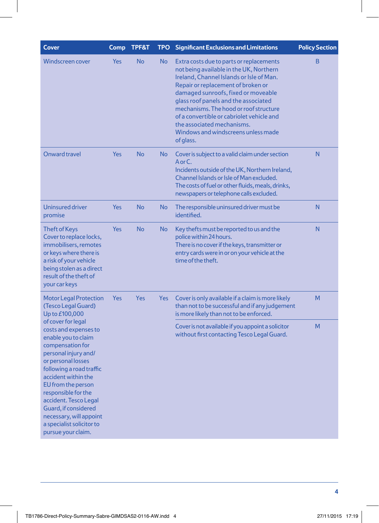| <b>Cover</b>                                                                                                                                                                                                                                                                                                                                                        | Comp              | TPF&T     | <b>TPO</b>                                                                                       | <b>Significant Exclusions and Limitations</b>                                                                                                                                                                                                                                                                                                                                                                                 | <b>Policy Section</b> |
|---------------------------------------------------------------------------------------------------------------------------------------------------------------------------------------------------------------------------------------------------------------------------------------------------------------------------------------------------------------------|-------------------|-----------|--------------------------------------------------------------------------------------------------|-------------------------------------------------------------------------------------------------------------------------------------------------------------------------------------------------------------------------------------------------------------------------------------------------------------------------------------------------------------------------------------------------------------------------------|-----------------------|
| <b>Windscreen cover</b>                                                                                                                                                                                                                                                                                                                                             | <b>Yes</b>        | <b>No</b> | <b>No</b>                                                                                        | Extra costs due to parts or replacements<br>not being available in the UK, Northern<br>Ireland, Channel Islands or Isle of Man.<br>Repair or replacement of broken or<br>damaged sunroofs, fixed or moveable<br>glass roof panels and the associated<br>mechanisms. The hood or roof structure<br>of a convertible or cabriolet vehicle and<br>the associated mechanisms.<br>Windows and windscreens unless made<br>of glass. | B                     |
| <b>Onward travel</b>                                                                                                                                                                                                                                                                                                                                                | <b>Yes</b>        | <b>No</b> | No                                                                                               | Cover is subject to a valid claim under section<br>A or C.<br>Incidents outside of the UK, Northern Ireland,<br>Channel Islands or Isle of Man excluded.<br>The costs of fuel or other fluids, meals, drinks,<br>newspapers or telephone calls excluded.                                                                                                                                                                      | N                     |
| <b>Uninsured driver</b><br>promise                                                                                                                                                                                                                                                                                                                                  | <b>Yes</b>        | <b>No</b> | <b>No</b>                                                                                        | The responsible uninsured driver must be<br>identified.                                                                                                                                                                                                                                                                                                                                                                       | N                     |
| <b>Theft of Keys</b><br>Cover to replace locks,<br>immobilisers, remotes<br>or keys where there is<br>a risk of your vehicle<br>being stolen as a direct<br>result of the theft of<br>your car keys                                                                                                                                                                 | <b>Yes</b>        | <b>No</b> | No                                                                                               | Key thefts must be reported to us and the<br>police within 24 hours.<br>There is no cover if the keys, transmitter or<br>entry cards were in or on your vehicle at the<br>time of the theft.                                                                                                                                                                                                                                  | N                     |
| <b>Motor Legal Protection</b><br>(Tesco Legal Guard)<br>Up to £100,000                                                                                                                                                                                                                                                                                              | <b>Yes</b><br>Yes |           | <b>Yes</b>                                                                                       | Cover is only available if a claim is more likely<br>than not to be successful and if any judgement<br>is more likely than not to be enforced.                                                                                                                                                                                                                                                                                | M                     |
| of cover for legal<br>costs and expenses to<br>enable you to claim<br>compensation for<br>personal injury and/<br>or personal losses<br>following a road traffic<br>accident within the<br>EU from the person<br>responsible for the<br>accident. Tesco Legal<br>Guard, if considered<br>necessary, will appoint<br>a specialist solicitor to<br>pursue your claim. |                   |           | Cover is not available if you appoint a solicitor<br>without first contacting Tesco Legal Guard. | M                                                                                                                                                                                                                                                                                                                                                                                                                             |                       |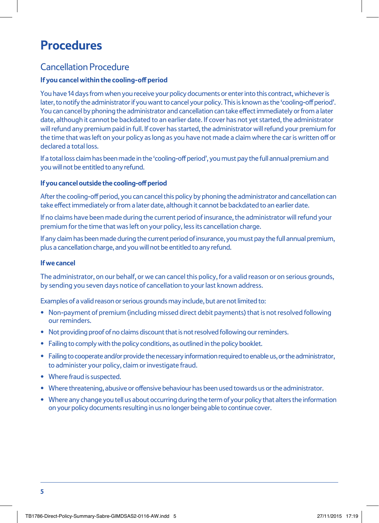# **Procedures**

### Cancellation Procedure

#### **If you cancel within the cooling-off period**

You have 14 days from when you receive your policy documents or enter into this contract, whichever is later, to notify the administrator if you want to cancel your policy. This is known as the 'cooling-off period'. You can cancel by phoning the administrator and cancellation can take effect immediately or from a later date, although it cannot be backdated to an earlier date. If cover has not yet started, the administrator will refund any premium paid in full. If cover has started, the administrator will refund your premium for the time that was left on your policy as long as you have not made a claim where the car is written off or declared a total loss.

If a total loss claim has been made in the 'cooling-off period', you must pay the full annual premium and you will not be entitled to any refund.

#### **If you cancel outside the cooling-off period**

After the cooling-off period, you can cancel this policy by phoning the administrator and cancellation can take effect immediately or from a later date, although it cannot be backdated to an earlier date.

If no claims have been made during the current period of insurance, the administrator will refund your premium for the time that was left on your policy, less its cancellation charge.

If any claim has been made during the current period of insurance, you must pay the full annual premium, plus a cancellation charge, and you will not be entitled to any refund.

#### **If we cancel**

The administrator, on our behalf, or we can cancel this policy, for a valid reason or on serious grounds, by sending you seven days notice of cancellation to your last known address.

Examples of a valid reason or serious grounds may include, but are not limited to:

- Non-payment of premium (including missed direct debit payments) that is not resolved following our reminders.
- Not providing proof of no claims discount that is not resolved following our reminders.
- Failing to comply with the policy conditions, as outlined in the policy booklet.
- Failing to cooperate and/or provide the necessary information required to enable us, or the administrator, to administer your policy, claim or investigate fraud.
- Where fraud is suspected.
- Where threatening, abusive or offensive behaviour has been used towards us or the administrator.
- Where any change you tell us about occurring during the term of your policy that alters the information on your policy documents resulting in us no longer being able to continue cover.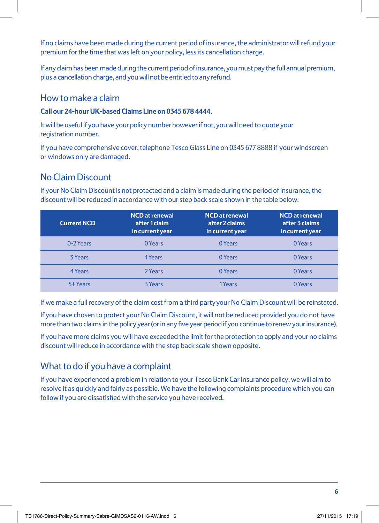If no claims have been made during the current period of insurance, the administrator will refund your premium for the time that was left on your policy, less its cancellation charge.

If any claim has been made during the current period of insurance, you must pay the full annual premium, plus a cancellation charge, and you will not be entitled to any refund.

### How to make a claim

#### **Call our 24-hour UK-based Claims Line on 0345 678 4444.**

It will be useful if you have your policy number however if not, you will need to quote your registration number.

If you have comprehensive cover, telephone Tesco Glass Line on 0345 677 8888 if your windscreen or windows only are damaged.

### No Claim Discount

If your No Claim Discount is not protected and a claim is made during the period of insurance, the discount will be reduced in accordance with our step back scale shown in the table below:

| <b>Current NCD</b> | <b>NCD</b> at renewal<br>after 1 claim<br>in current year | <b>NCD</b> at renewal<br>after 2 claims<br>in current year | <b>NCD</b> at renewal<br>after 3 claims<br>in current year |
|--------------------|-----------------------------------------------------------|------------------------------------------------------------|------------------------------------------------------------|
| 0-2 Years          | 0 Years                                                   | 0 Years                                                    | 0 Years                                                    |
| 3 Years            | 1Years                                                    | 0 Years                                                    | 0 Years                                                    |
| 4 Years            | 2 Years                                                   | 0 Years                                                    | 0 Years                                                    |
| 5+ Years           | <b>3 Years</b>                                            | 1Years                                                     | 0 Years                                                    |

If we make a full recovery of the claim cost from a third party your No Claim Discount will be reinstated.

If you have chosen to protect your No Claim Discount, it will not be reduced provided you do not have more than two claims in the policy year (or in any five year period if you continue to renew your insurance).

If you have more claims you will have exceeded the limit for the protection to apply and your no claims discount will reduce in accordance with the step back scale shown opposite.

### What to do if you have a complaint

If you have experienced a problem in relation to your Tesco Bank Car Insurance policy, we will aim to resolve it as quickly and fairly as possible. We have the following complaints procedure which you can follow if you are dissatisfied with the service you have received.